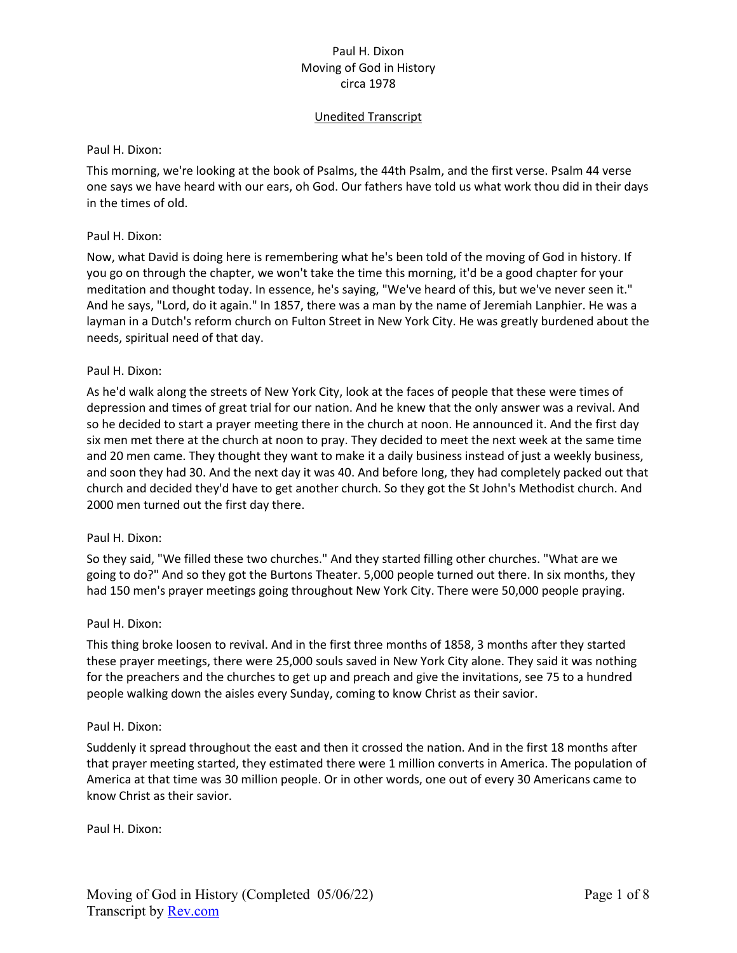# Unedited Transcript

#### Paul H. Dixon:

This morning, we're looking at the book of Psalms, the 44th Psalm, and the first verse. Psalm 44 verse one says we have heard with our ears, oh God. Our fathers have told us what work thou did in their days in the times of old.

## Paul H. Dixon:

Now, what David is doing here is remembering what he's been told of the moving of God in history. If you go on through the chapter, we won't take the time this morning, it'd be a good chapter for your meditation and thought today. In essence, he's saying, "We've heard of this, but we've never seen it." And he says, "Lord, do it again." In 1857, there was a man by the name of Jeremiah Lanphier. He was a layman in a Dutch's reform church on Fulton Street in New York City. He was greatly burdened about the needs, spiritual need of that day.

## Paul H. Dixon:

As he'd walk along the streets of New York City, look at the faces of people that these were times of depression and times of great trial for our nation. And he knew that the only answer was a revival. And so he decided to start a prayer meeting there in the church at noon. He announced it. And the first day six men met there at the church at noon to pray. They decided to meet the next week at the same time and 20 men came. They thought they want to make it a daily business instead of just a weekly business, and soon they had 30. And the next day it was 40. And before long, they had completely packed out that church and decided they'd have to get another church. So they got the St John's Methodist church. And 2000 men turned out the first day there.

# Paul H. Dixon:

So they said, "We filled these two churches." And they started filling other churches. "What are we going to do?" And so they got the Burtons Theater. 5,000 people turned out there. In six months, they had 150 men's prayer meetings going throughout New York City. There were 50,000 people praying.

#### Paul H. Dixon:

This thing broke loosen to revival. And in the first three months of 1858, 3 months after they started these prayer meetings, there were 25,000 souls saved in New York City alone. They said it was nothing for the preachers and the churches to get up and preach and give the invitations, see 75 to a hundred people walking down the aisles every Sunday, coming to know Christ as their savior.

#### Paul H. Dixon:

Suddenly it spread throughout the east and then it crossed the nation. And in the first 18 months after that prayer meeting started, they estimated there were 1 million converts in America. The population of America at that time was 30 million people. Or in other words, one out of every 30 Americans came to know Christ as their savior.

Paul H. Dixon: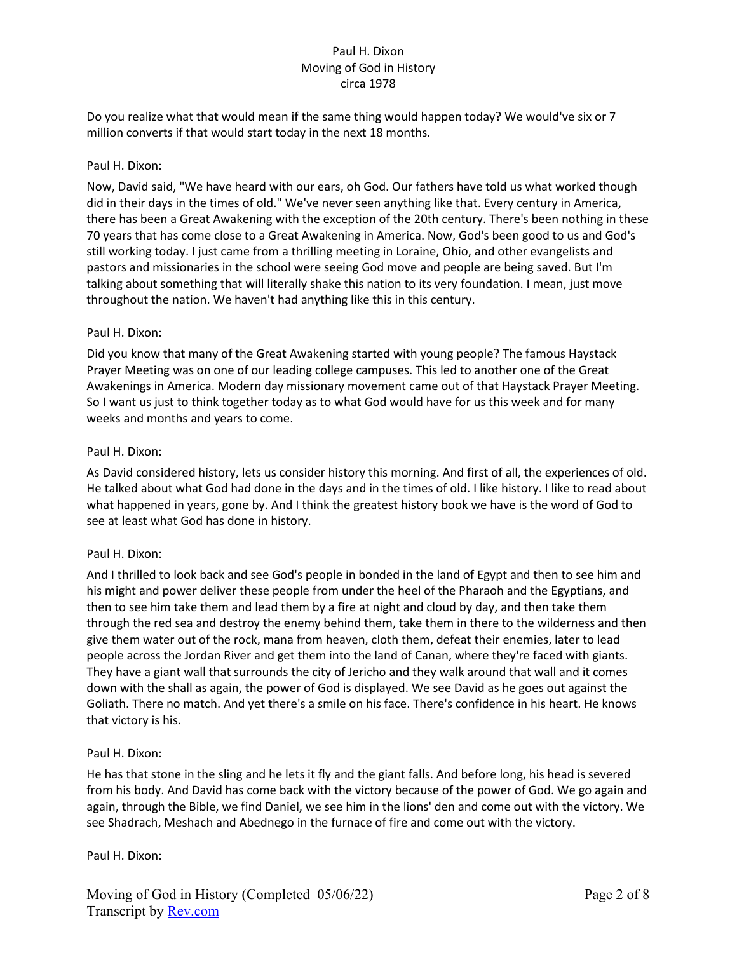Do you realize what that would mean if the same thing would happen today? We would've six or 7 million converts if that would start today in the next 18 months.

## Paul H. Dixon:

Now, David said, "We have heard with our ears, oh God. Our fathers have told us what worked though did in their days in the times of old." We've never seen anything like that. Every century in America, there has been a Great Awakening with the exception of the 20th century. There's been nothing in these 70 years that has come close to a Great Awakening in America. Now, God's been good to us and God's still working today. I just came from a thrilling meeting in Loraine, Ohio, and other evangelists and pastors and missionaries in the school were seeing God move and people are being saved. But I'm talking about something that will literally shake this nation to its very foundation. I mean, just move throughout the nation. We haven't had anything like this in this century.

## Paul H. Dixon:

Did you know that many of the Great Awakening started with young people? The famous Haystack Prayer Meeting was on one of our leading college campuses. This led to another one of the Great Awakenings in America. Modern day missionary movement came out of that Haystack Prayer Meeting. So I want us just to think together today as to what God would have for us this week and for many weeks and months and years to come.

## Paul H. Dixon:

As David considered history, lets us consider history this morning. And first of all, the experiences of old. He talked about what God had done in the days and in the times of old. I like history. I like to read about what happened in years, gone by. And I think the greatest history book we have is the word of God to see at least what God has done in history.

# Paul H. Dixon:

And I thrilled to look back and see God's people in bonded in the land of Egypt and then to see him and his might and power deliver these people from under the heel of the Pharaoh and the Egyptians, and then to see him take them and lead them by a fire at night and cloud by day, and then take them through the red sea and destroy the enemy behind them, take them in there to the wilderness and then give them water out of the rock, mana from heaven, cloth them, defeat their enemies, later to lead people across the Jordan River and get them into the land of Canan, where they're faced with giants. They have a giant wall that surrounds the city of Jericho and they walk around that wall and it comes down with the shall as again, the power of God is displayed. We see David as he goes out against the Goliath. There no match. And yet there's a smile on his face. There's confidence in his heart. He knows that victory is his.

#### Paul H. Dixon:

He has that stone in the sling and he lets it fly and the giant falls. And before long, his head is severed from his body. And David has come back with the victory because of the power of God. We go again and again, through the Bible, we find Daniel, we see him in the lions' den and come out with the victory. We see Shadrach, Meshach and Abednego in the furnace of fire and come out with the victory.

# Paul H. Dixon: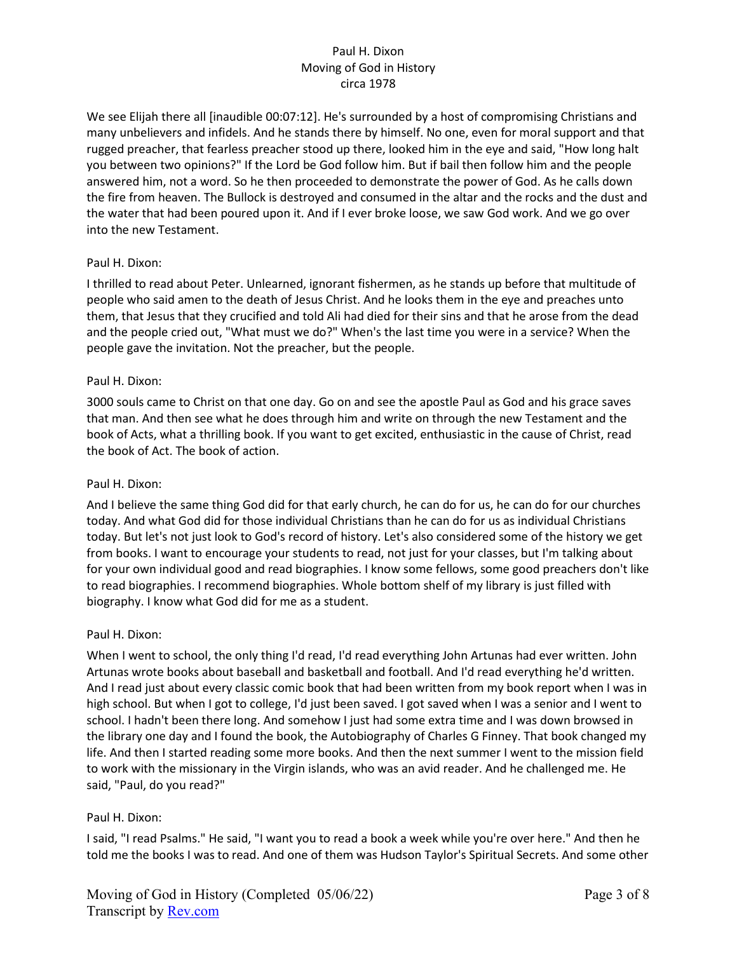We see Elijah there all [inaudible 00:07:12]. He's surrounded by a host of compromising Christians and many unbelievers and infidels. And he stands there by himself. No one, even for moral support and that rugged preacher, that fearless preacher stood up there, looked him in the eye and said, "How long halt you between two opinions?" If the Lord be God follow him. But if bail then follow him and the people answered him, not a word. So he then proceeded to demonstrate the power of God. As he calls down the fire from heaven. The Bullock is destroyed and consumed in the altar and the rocks and the dust and the water that had been poured upon it. And if I ever broke loose, we saw God work. And we go over into the new Testament.

## Paul H. Dixon:

I thrilled to read about Peter. Unlearned, ignorant fishermen, as he stands up before that multitude of people who said amen to the death of Jesus Christ. And he looks them in the eye and preaches unto them, that Jesus that they crucified and told Ali had died for their sins and that he arose from the dead and the people cried out, "What must we do?" When's the last time you were in a service? When the people gave the invitation. Not the preacher, but the people.

## Paul H. Dixon:

3000 souls came to Christ on that one day. Go on and see the apostle Paul as God and his grace saves that man. And then see what he does through him and write on through the new Testament and the book of Acts, what a thrilling book. If you want to get excited, enthusiastic in the cause of Christ, read the book of Act. The book of action.

### Paul H. Dixon:

And I believe the same thing God did for that early church, he can do for us, he can do for our churches today. And what God did for those individual Christians than he can do for us as individual Christians today. But let's not just look to God's record of history. Let's also considered some of the history we get from books. I want to encourage your students to read, not just for your classes, but I'm talking about for your own individual good and read biographies. I know some fellows, some good preachers don't like to read biographies. I recommend biographies. Whole bottom shelf of my library is just filled with biography. I know what God did for me as a student.

#### Paul H. Dixon:

When I went to school, the only thing I'd read, I'd read everything John Artunas had ever written. John Artunas wrote books about baseball and basketball and football. And I'd read everything he'd written. And I read just about every classic comic book that had been written from my book report when I was in high school. But when I got to college, I'd just been saved. I got saved when I was a senior and I went to school. I hadn't been there long. And somehow I just had some extra time and I was down browsed in the library one day and I found the book, the Autobiography of Charles G Finney. That book changed my life. And then I started reading some more books. And then the next summer I went to the mission field to work with the missionary in the Virgin islands, who was an avid reader. And he challenged me. He said, "Paul, do you read?"

#### Paul H. Dixon:

I said, "I read Psalms." He said, "I want you to read a book a week while you're over here." And then he told me the books I was to read. And one of them was Hudson Taylor's Spiritual Secrets. And some other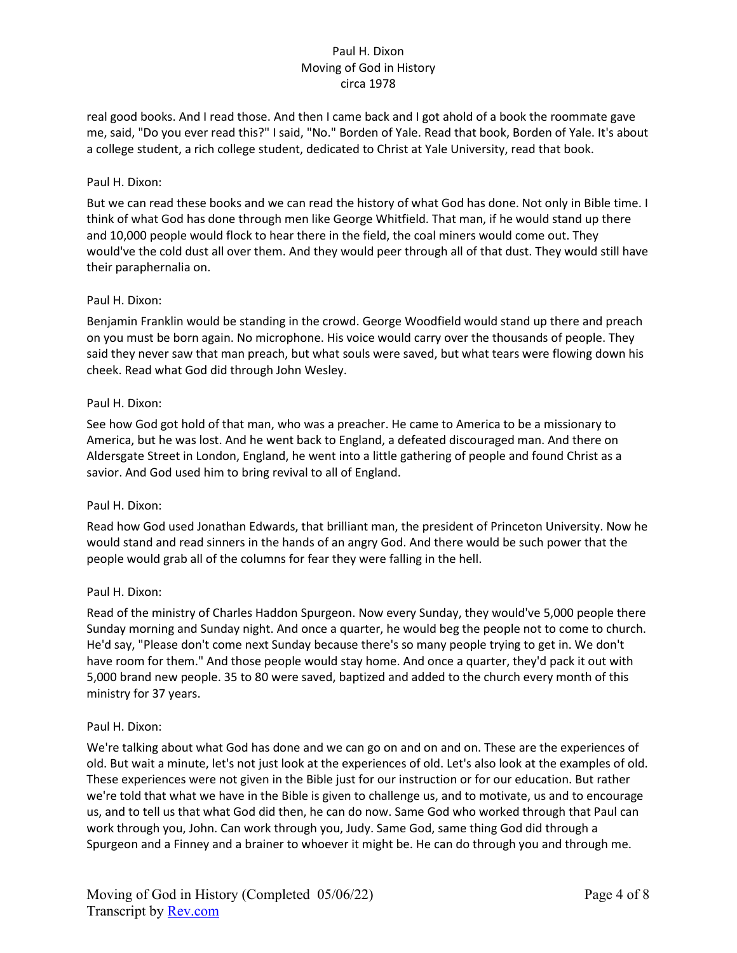real good books. And I read those. And then I came back and I got ahold of a book the roommate gave me, said, "Do you ever read this?" I said, "No." Borden of Yale. Read that book, Borden of Yale. It's about a college student, a rich college student, dedicated to Christ at Yale University, read that book.

# Paul H. Dixon:

But we can read these books and we can read the history of what God has done. Not only in Bible time. I think of what God has done through men like George Whitfield. That man, if he would stand up there and 10,000 people would flock to hear there in the field, the coal miners would come out. They would've the cold dust all over them. And they would peer through all of that dust. They would still have their paraphernalia on.

## Paul H. Dixon:

Benjamin Franklin would be standing in the crowd. George Woodfield would stand up there and preach on you must be born again. No microphone. His voice would carry over the thousands of people. They said they never saw that man preach, but what souls were saved, but what tears were flowing down his cheek. Read what God did through John Wesley.

## Paul H. Dixon:

See how God got hold of that man, who was a preacher. He came to America to be a missionary to America, but he was lost. And he went back to England, a defeated discouraged man. And there on Aldersgate Street in London, England, he went into a little gathering of people and found Christ as a savior. And God used him to bring revival to all of England.

# Paul H. Dixon:

Read how God used Jonathan Edwards, that brilliant man, the president of Princeton University. Now he would stand and read sinners in the hands of an angry God. And there would be such power that the people would grab all of the columns for fear they were falling in the hell.

# Paul H. Dixon:

Read of the ministry of Charles Haddon Spurgeon. Now every Sunday, they would've 5,000 people there Sunday morning and Sunday night. And once a quarter, he would beg the people not to come to church. He'd say, "Please don't come next Sunday because there's so many people trying to get in. We don't have room for them." And those people would stay home. And once a quarter, they'd pack it out with 5,000 brand new people. 35 to 80 were saved, baptized and added to the church every month of this ministry for 37 years.

#### Paul H. Dixon:

We're talking about what God has done and we can go on and on and on. These are the experiences of old. But wait a minute, let's not just look at the experiences of old. Let's also look at the examples of old. These experiences were not given in the Bible just for our instruction or for our education. But rather we're told that what we have in the Bible is given to challenge us, and to motivate, us and to encourage us, and to tell us that what God did then, he can do now. Same God who worked through that Paul can work through you, John. Can work through you, Judy. Same God, same thing God did through a Spurgeon and a Finney and a brainer to whoever it might be. He can do through you and through me.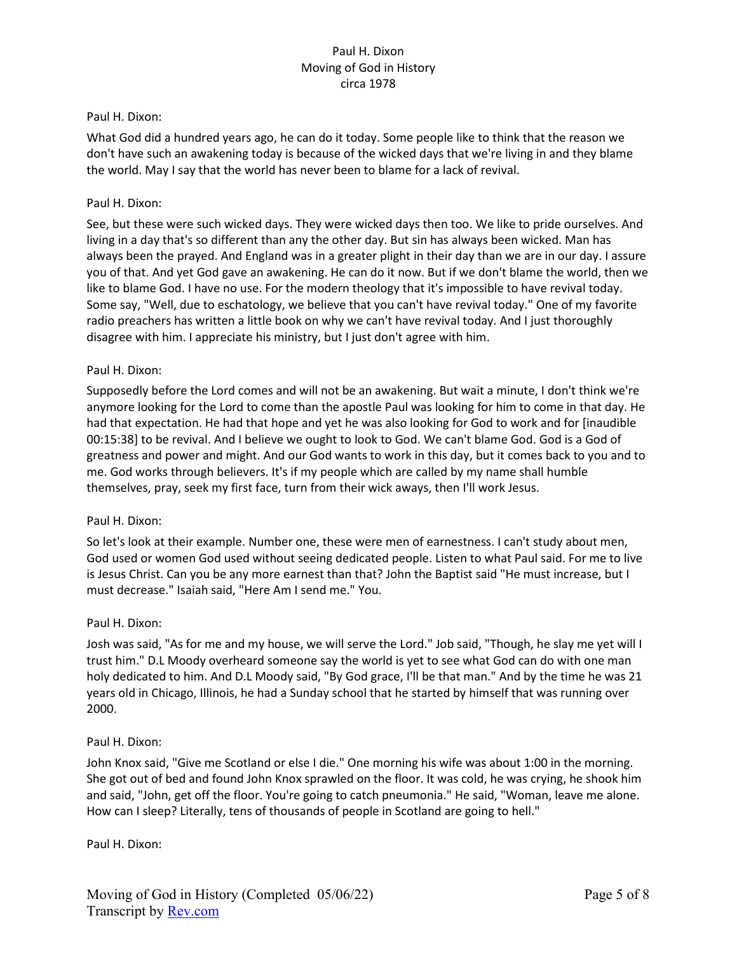#### Paul H. Dixon:

What God did a hundred years ago, he can do it today. Some people like to think that the reason we don't have such an awakening today is because of the wicked days that we're living in and they blame the world. May I say that the world has never been to blame for a lack of revival.

#### Paul H. Dixon:

See, but these were such wicked days. They were wicked days then too. We like to pride ourselves. And living in a day that's so different than any the other day. But sin has always been wicked. Man has always been the prayed. And England was in a greater plight in their day than we are in our day. I assure you of that. And yet God gave an awakening. He can do it now. But if we don't blame the world, then we like to blame God. I have no use. For the modern theology that it's impossible to have revival today. Some say, "Well, due to eschatology, we believe that you can't have revival today." One of my favorite radio preachers has written a little book on why we can't have revival today. And I just thoroughly disagree with him. I appreciate his ministry, but I just don't agree with him.

#### Paul H. Dixon:

Supposedly before the Lord comes and will not be an awakening. But wait a minute, I don't think we're anymore looking for the Lord to come than the apostle Paul was looking for him to come in that day. He had that expectation. He had that hope and yet he was also looking for God to work and for [inaudible 00:15:38] to be revival. And I believe we ought to look to God. We can't blame God. God is a God of greatness and power and might. And our God wants to work in this day, but it comes back to you and to me. God works through believers. It's if my people which are called by my name shall humble themselves, pray, seek my first face, turn from their wick aways, then I'll work Jesus.

#### Paul H. Dixon:

So let's look at their example. Number one, these were men of earnestness. I can't study about men, God used or women God used without seeing dedicated people. Listen to what Paul said. For me to live is Jesus Christ. Can you be any more earnest than that? John the Baptist said "He must increase, but I must decrease." Isaiah said, "Here Am I send me." You.

#### Paul H. Dixon:

Josh was said, "As for me and my house, we will serve the Lord." Job said, "Though, he slay me yet will I trust him." D.L Moody overheard someone say the world is yet to see what God can do with one man holy dedicated to him. And D.L Moody said, "By God grace, I'll be that man." And by the time he was 21 years old in Chicago, Illinois, he had a Sunday school that he started by himself that was running over 2000.

#### Paul H. Dixon:

John Knox said, "Give me Scotland or else I die." One morning his wife was about 1:00 in the morning. She got out of bed and found John Knox sprawled on the floor. It was cold, he was crying, he shook him and said, "John, get off the floor. You're going to catch pneumonia." He said, "Woman, leave me alone. How can I sleep? Literally, tens of thousands of people in Scotland are going to hell."

Paul H. Dixon: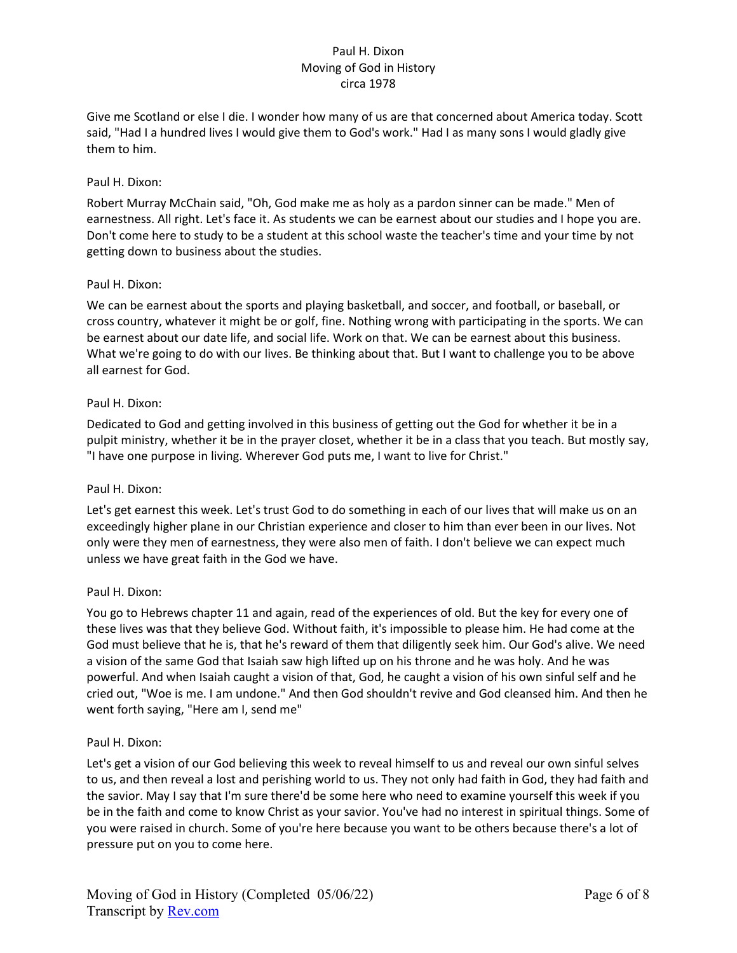Give me Scotland or else I die. I wonder how many of us are that concerned about America today. Scott said, "Had I a hundred lives I would give them to God's work." Had I as many sons I would gladly give them to him.

# Paul H. Dixon:

Robert Murray McChain said, "Oh, God make me as holy as a pardon sinner can be made." Men of earnestness. All right. Let's face it. As students we can be earnest about our studies and I hope you are. Don't come here to study to be a student at this school waste the teacher's time and your time by not getting down to business about the studies.

## Paul H. Dixon:

We can be earnest about the sports and playing basketball, and soccer, and football, or baseball, or cross country, whatever it might be or golf, fine. Nothing wrong with participating in the sports. We can be earnest about our date life, and social life. Work on that. We can be earnest about this business. What we're going to do with our lives. Be thinking about that. But I want to challenge you to be above all earnest for God.

## Paul H. Dixon:

Dedicated to God and getting involved in this business of getting out the God for whether it be in a pulpit ministry, whether it be in the prayer closet, whether it be in a class that you teach. But mostly say, "I have one purpose in living. Wherever God puts me, I want to live for Christ."

# Paul H. Dixon:

Let's get earnest this week. Let's trust God to do something in each of our lives that will make us on an exceedingly higher plane in our Christian experience and closer to him than ever been in our lives. Not only were they men of earnestness, they were also men of faith. I don't believe we can expect much unless we have great faith in the God we have.

# Paul H. Dixon:

You go to Hebrews chapter 11 and again, read of the experiences of old. But the key for every one of these lives was that they believe God. Without faith, it's impossible to please him. He had come at the God must believe that he is, that he's reward of them that diligently seek him. Our God's alive. We need a vision of the same God that Isaiah saw high lifted up on his throne and he was holy. And he was powerful. And when Isaiah caught a vision of that, God, he caught a vision of his own sinful self and he cried out, "Woe is me. I am undone." And then God shouldn't revive and God cleansed him. And then he went forth saying, "Here am I, send me"

#### Paul H. Dixon:

Let's get a vision of our God believing this week to reveal himself to us and reveal our own sinful selves to us, and then reveal a lost and perishing world to us. They not only had faith in God, they had faith and the savior. May I say that I'm sure there'd be some here who need to examine yourself this week if you be in the faith and come to know Christ as your savior. You've had no interest in spiritual things. Some of you were raised in church. Some of you're here because you want to be others because there's a lot of pressure put on you to come here.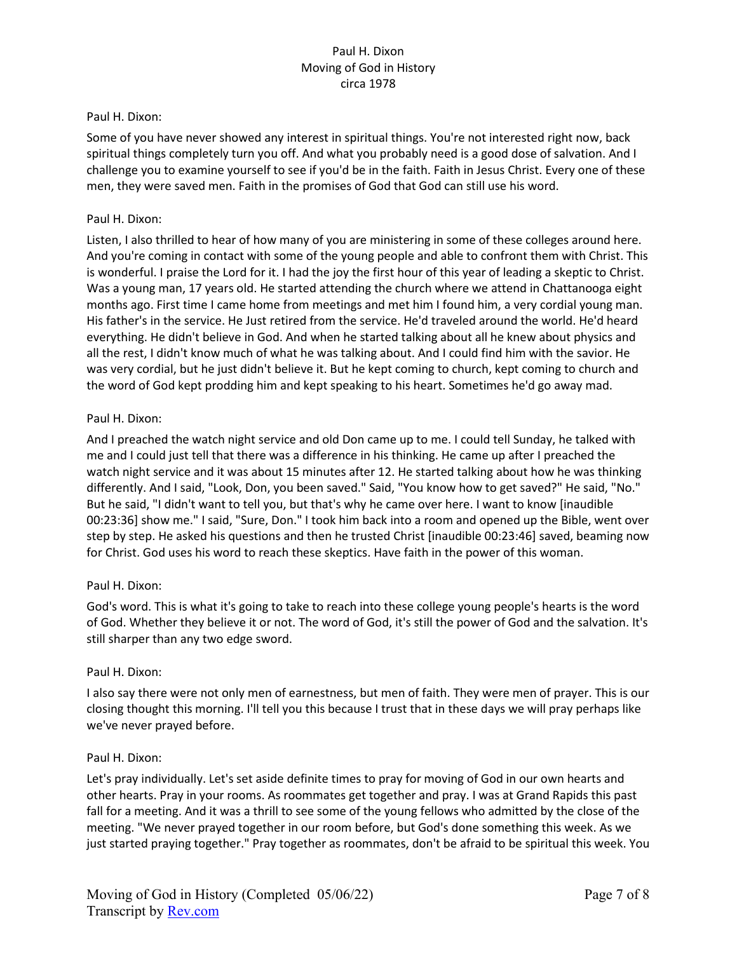#### Paul H. Dixon:

Some of you have never showed any interest in spiritual things. You're not interested right now, back spiritual things completely turn you off. And what you probably need is a good dose of salvation. And I challenge you to examine yourself to see if you'd be in the faith. Faith in Jesus Christ. Every one of these men, they were saved men. Faith in the promises of God that God can still use his word.

## Paul H. Dixon:

Listen, I also thrilled to hear of how many of you are ministering in some of these colleges around here. And you're coming in contact with some of the young people and able to confront them with Christ. This is wonderful. I praise the Lord for it. I had the joy the first hour of this year of leading a skeptic to Christ. Was a young man, 17 years old. He started attending the church where we attend in Chattanooga eight months ago. First time I came home from meetings and met him I found him, a very cordial young man. His father's in the service. He Just retired from the service. He'd traveled around the world. He'd heard everything. He didn't believe in God. And when he started talking about all he knew about physics and all the rest, I didn't know much of what he was talking about. And I could find him with the savior. He was very cordial, but he just didn't believe it. But he kept coming to church, kept coming to church and the word of God kept prodding him and kept speaking to his heart. Sometimes he'd go away mad.

## Paul H. Dixon:

And I preached the watch night service and old Don came up to me. I could tell Sunday, he talked with me and I could just tell that there was a difference in his thinking. He came up after I preached the watch night service and it was about 15 minutes after 12. He started talking about how he was thinking differently. And I said, "Look, Don, you been saved." Said, "You know how to get saved?" He said, "No." But he said, "I didn't want to tell you, but that's why he came over here. I want to know [inaudible 00:23:36] show me." I said, "Sure, Don." I took him back into a room and opened up the Bible, went over step by step. He asked his questions and then he trusted Christ [inaudible 00:23:46] saved, beaming now for Christ. God uses his word to reach these skeptics. Have faith in the power of this woman.

# Paul H. Dixon:

God's word. This is what it's going to take to reach into these college young people's hearts is the word of God. Whether they believe it or not. The word of God, it's still the power of God and the salvation. It's still sharper than any two edge sword.

# Paul H. Dixon:

I also say there were not only men of earnestness, but men of faith. They were men of prayer. This is our closing thought this morning. I'll tell you this because I trust that in these days we will pray perhaps like we've never prayed before.

#### Paul H. Dixon:

Let's pray individually. Let's set aside definite times to pray for moving of God in our own hearts and other hearts. Pray in your rooms. As roommates get together and pray. I was at Grand Rapids this past fall for a meeting. And it was a thrill to see some of the young fellows who admitted by the close of the meeting. "We never prayed together in our room before, but God's done something this week. As we just started praying together." Pray together as roommates, don't be afraid to be spiritual this week. You